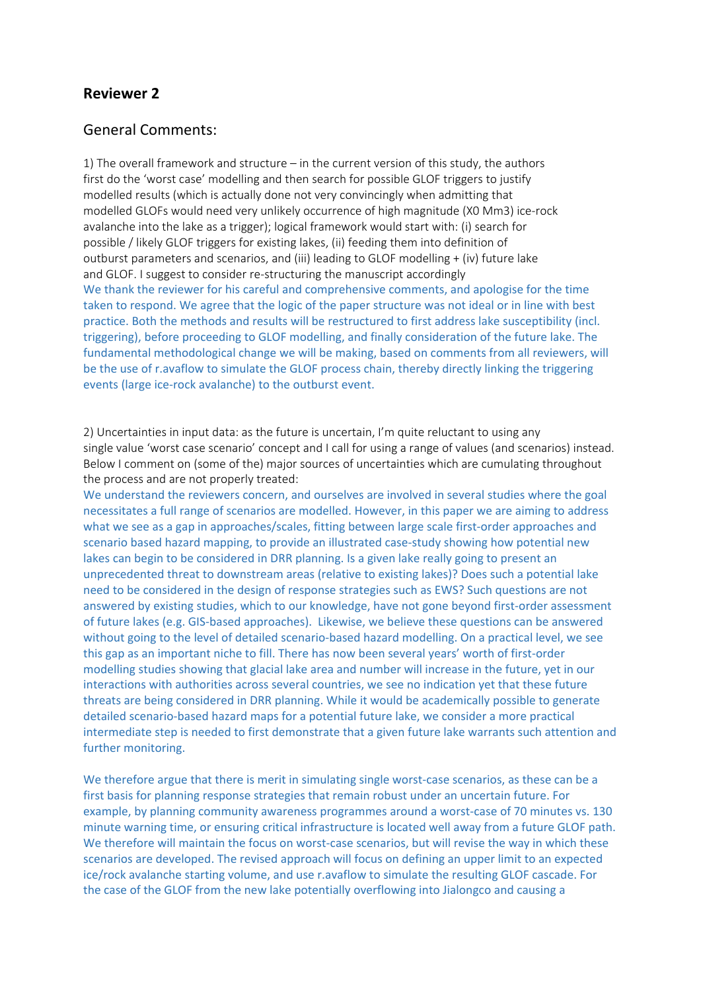# **Reviewer 2**

## General Comments:

1) The overall framework and structure – in the current version of this study, the authors first do the 'worst case' modelling and then search for possible GLOF triggers to justify modelled results (which is actually done not very convincingly when admitting that modelled GLOFs would need very unlikely occurrence of high magnitude (X0 Mm3) ice‐rock avalanche into the lake as a trigger); logical framework would start with: (i) search for possible / likely GLOF triggers for existing lakes, (ii) feeding them into definition of outburst parameters and scenarios, and (iii) leading to GLOF modelling + (iv) future lake and GLOF. I suggest to consider re‐structuring the manuscript accordingly We thank the reviewer for his careful and comprehensive comments, and apologise for the time taken to respond. We agree that the logic of the paper structure was not ideal or in line with best practice. Both the methods and results will be restructured to first address lake susceptibility (incl. triggering), before proceeding to GLOF modelling, and finally consideration of the future lake. The fundamental methodological change we will be making, based on comments from all reviewers, will be the use of r.avaflow to simulate the GLOF process chain, thereby directly linking the triggering events (large ice-rock avalanche) to the outburst event.

2) Uncertainties in input data: as the future is uncertain, I'm quite reluctant to using any single value 'worst case scenario' concept and I call for using a range of values (and scenarios) instead. Below I comment on (some of the) major sources of uncertainties which are cumulating throughout the process and are not properly treated:

We understand the reviewers concern, and ourselves are involved in several studies where the goal necessitates a full range of scenarios are modelled. However, in this paper we are aiming to address what we see as a gap in approaches/scales, fitting between large scale first-order approaches and scenario based hazard mapping, to provide an illustrated case-study showing how potential new lakes can begin to be considered in DRR planning. Is a given lake really going to present an unprecedented threat to downstream areas (relative to existing lakes)? Does such a potential lake need to be considered in the design of response strategies such as EWS? Such questions are not answered by existing studies, which to our knowledge, have not gone beyond first-order assessment of future lakes (e.g. GIS‐based approaches). Likewise, we believe these questions can be answered without going to the level of detailed scenario-based hazard modelling. On a practical level, we see this gap as an important niche to fill. There has now been several years' worth of first-order modelling studies showing that glacial lake area and number will increase in the future, yet in our interactions with authorities across several countries, we see no indication yet that these future threats are being considered in DRR planning. While it would be academically possible to generate detailed scenario‐based hazard maps for a potential future lake, we consider a more practical intermediate step is needed to first demonstrate that a given future lake warrants such attention and further monitoring.

We therefore argue that there is merit in simulating single worst-case scenarios, as these can be a first basis for planning response strategies that remain robust under an uncertain future. For example, by planning community awareness programmes around a worst-case of 70 minutes vs. 130 minute warning time, or ensuring critical infrastructure is located well away from a future GLOF path. We therefore will maintain the focus on worst-case scenarios, but will revise the way in which these scenarios are developed. The revised approach will focus on defining an upper limit to an expected ice/rock avalanche starting volume, and use r.avaflow to simulate the resulting GLOF cascade. For the case of the GLOF from the new lake potentially overflowing into Jialongco and causing a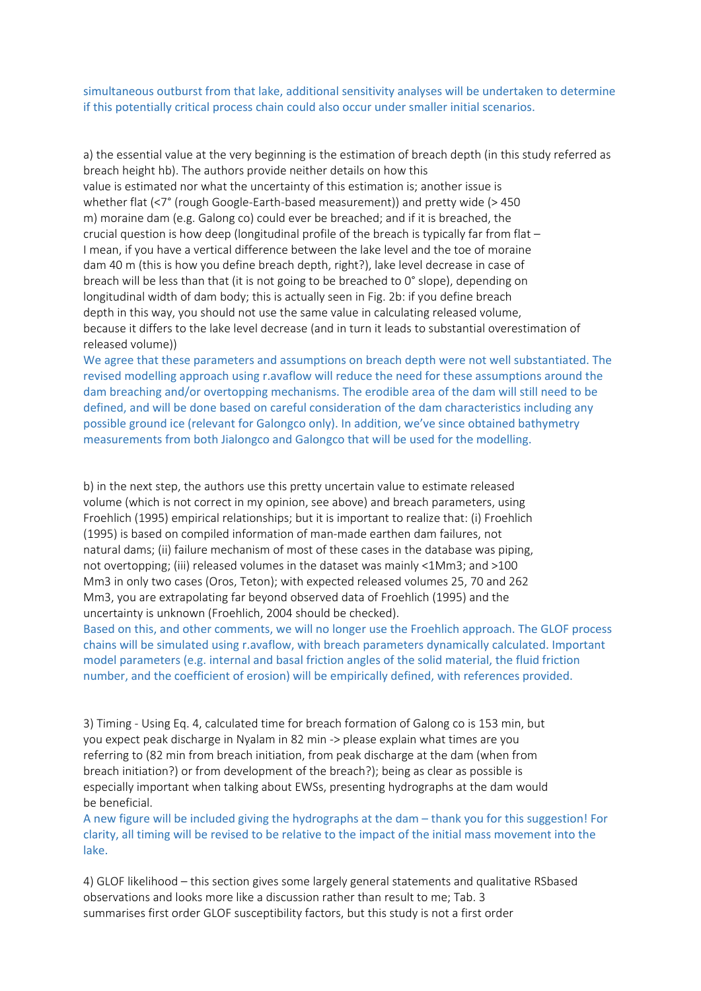simultaneous outburst from that lake, additional sensitivity analyses will be undertaken to determine if this potentially critical process chain could also occur under smaller initial scenarios.

a) the essential value at the very beginning is the estimation of breach depth (in this study referred as breach height hb). The authors provide neither details on how this value is estimated nor what the uncertainty of this estimation is; another issue is whether flat (<7° (rough Google-Earth-based measurement)) and pretty wide (>450 m) moraine dam (e.g. Galong co) could ever be breached; and if it is breached, the crucial question is how deep (longitudinal profile of the breach is typically far from flat – I mean, if you have a vertical difference between the lake level and the toe of moraine dam 40 m (this is how you define breach depth, right?), lake level decrease in case of breach will be less than that (it is not going to be breached to 0° slope), depending on longitudinal width of dam body; this is actually seen in Fig. 2b: if you define breach depth in this way, you should not use the same value in calculating released volume, because it differs to the lake level decrease (and in turn it leads to substantial overestimation of released volume))

We agree that these parameters and assumptions on breach depth were not well substantiated. The revised modelling approach using r.avaflow will reduce the need for these assumptions around the dam breaching and/or overtopping mechanisms. The erodible area of the dam will still need to be defined, and will be done based on careful consideration of the dam characteristics including any possible ground ice (relevant for Galongco only). In addition, we've since obtained bathymetry measurements from both Jialongco and Galongco that will be used for the modelling.

b) in the next step, the authors use this pretty uncertain value to estimate released volume (which is not correct in my opinion, see above) and breach parameters, using Froehlich (1995) empirical relationships; but it is important to realize that: (i) Froehlich (1995) is based on compiled information of man‐made earthen dam failures, not natural dams; (ii) failure mechanism of most of these cases in the database was piping, not overtopping; (iii) released volumes in the dataset was mainly <1Mm3; and >100 Mm3 in only two cases (Oros, Teton); with expected released volumes 25, 70 and 262 Mm3, you are extrapolating far beyond observed data of Froehlich (1995) and the uncertainty is unknown (Froehlich, 2004 should be checked).

Based on this, and other comments, we will no longer use the Froehlich approach. The GLOF process chains will be simulated using r.avaflow, with breach parameters dynamically calculated. Important model parameters (e.g. internal and basal friction angles of the solid material, the fluid friction number, and the coefficient of erosion) will be empirically defined, with references provided.

3) Timing ‐ Using Eq. 4, calculated time for breach formation of Galong co is 153 min, but you expect peak discharge in Nyalam in 82 min ‐> please explain what times are you referring to (82 min from breach initiation, from peak discharge at the dam (when from breach initiation?) or from development of the breach?); being as clear as possible is especially important when talking about EWSs, presenting hydrographs at the dam would be beneficial.

A new figure will be included giving the hydrographs at the dam – thank you for this suggestion! For clarity, all timing will be revised to be relative to the impact of the initial mass movement into the lake.

4) GLOF likelihood – this section gives some largely general statements and qualitative RSbased observations and looks more like a discussion rather than result to me; Tab. 3 summarises first order GLOF susceptibility factors, but this study is not a first order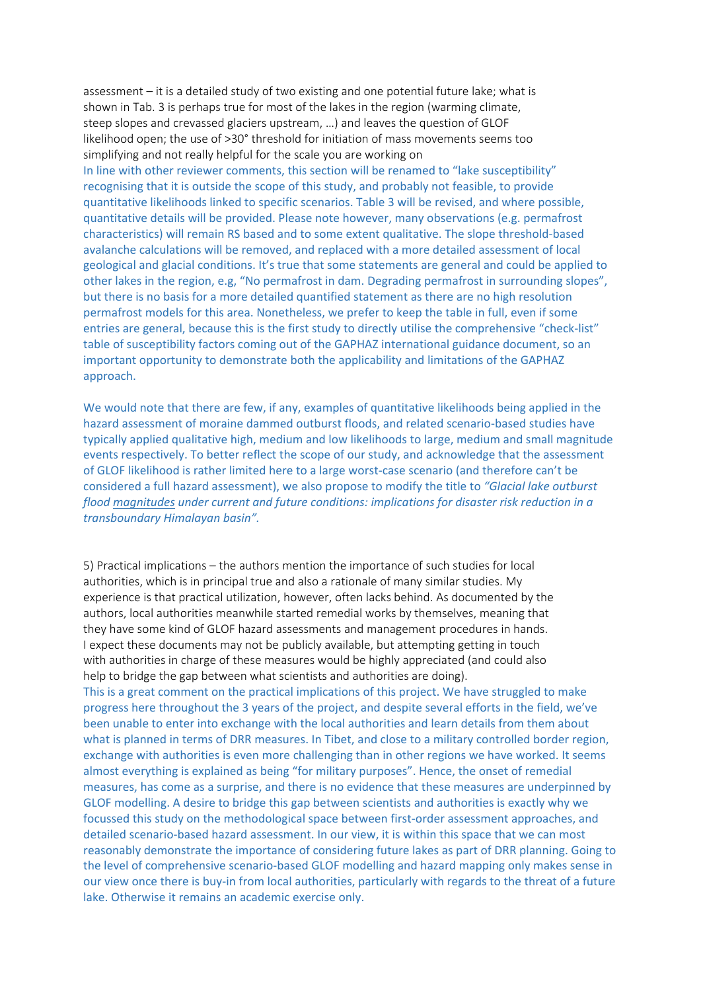assessment – it is a detailed study of two existing and one potential future lake; what is shown in Tab. 3 is perhaps true for most of the lakes in the region (warming climate, steep slopes and crevassed glaciers upstream, …) and leaves the question of GLOF likelihood open; the use of >30° threshold for initiation of mass movements seems too simplifying and not really helpful for the scale you are working on In line with other reviewer comments, this section will be renamed to "lake susceptibility" recognising that it is outside the scope of this study, and probably not feasible, to provide quantitative likelihoods linked to specific scenarios. Table 3 will be revised, and where possible, quantitative details will be provided. Please note however, many observations (e.g. permafrost characteristics) will remain RS based and to some extent qualitative. The slope threshold‐based avalanche calculations will be removed, and replaced with a more detailed assessment of local geological and glacial conditions. It's true that some statements are general and could be applied to other lakes in the region, e.g, "No permafrost in dam. Degrading permafrost in surrounding slopes", but there is no basis for a more detailed quantified statement as there are no high resolution permafrost models for this area. Nonetheless, we prefer to keep the table in full, even if some entries are general, because this is the first study to directly utilise the comprehensive "check-list" table of susceptibility factors coming out of the GAPHAZ international guidance document, so an important opportunity to demonstrate both the applicability and limitations of the GAPHAZ approach.

We would note that there are few, if any, examples of quantitative likelihoods being applied in the hazard assessment of moraine dammed outburst floods, and related scenario-based studies have typically applied qualitative high, medium and low likelihoods to large, medium and small magnitude events respectively. To better reflect the scope of our study, and acknowledge that the assessment of GLOF likelihood is rather limited here to a large worst‐case scenario (and therefore can't be considered a full hazard assessment), we also propose to modify the title to *"Glacial lake outburst flood magnitudes under current and future conditions: implications for disaster risk reduction in a transboundary Himalayan basin".* 

5) Practical implications – the authors mention the importance of such studies for local authorities, which is in principal true and also a rationale of many similar studies. My experience is that practical utilization, however, often lacks behind. As documented by the authors, local authorities meanwhile started remedial works by themselves, meaning that they have some kind of GLOF hazard assessments and management procedures in hands. I expect these documents may not be publicly available, but attempting getting in touch with authorities in charge of these measures would be highly appreciated (and could also help to bridge the gap between what scientists and authorities are doing).

This is a great comment on the practical implications of this project. We have struggled to make progress here throughout the 3 years of the project, and despite several efforts in the field, we've been unable to enter into exchange with the local authorities and learn details from them about what is planned in terms of DRR measures. In Tibet, and close to a military controlled border region, exchange with authorities is even more challenging than in other regions we have worked. It seems almost everything is explained as being "for military purposes". Hence, the onset of remedial measures, has come as a surprise, and there is no evidence that these measures are underpinned by GLOF modelling. A desire to bridge this gap between scientists and authorities is exactly why we focussed this study on the methodological space between first-order assessment approaches, and detailed scenario‐based hazard assessment. In our view, it is within this space that we can most reasonably demonstrate the importance of considering future lakes as part of DRR planning. Going to the level of comprehensive scenario‐based GLOF modelling and hazard mapping only makes sense in our view once there is buy-in from local authorities, particularly with regards to the threat of a future lake. Otherwise it remains an academic exercise only.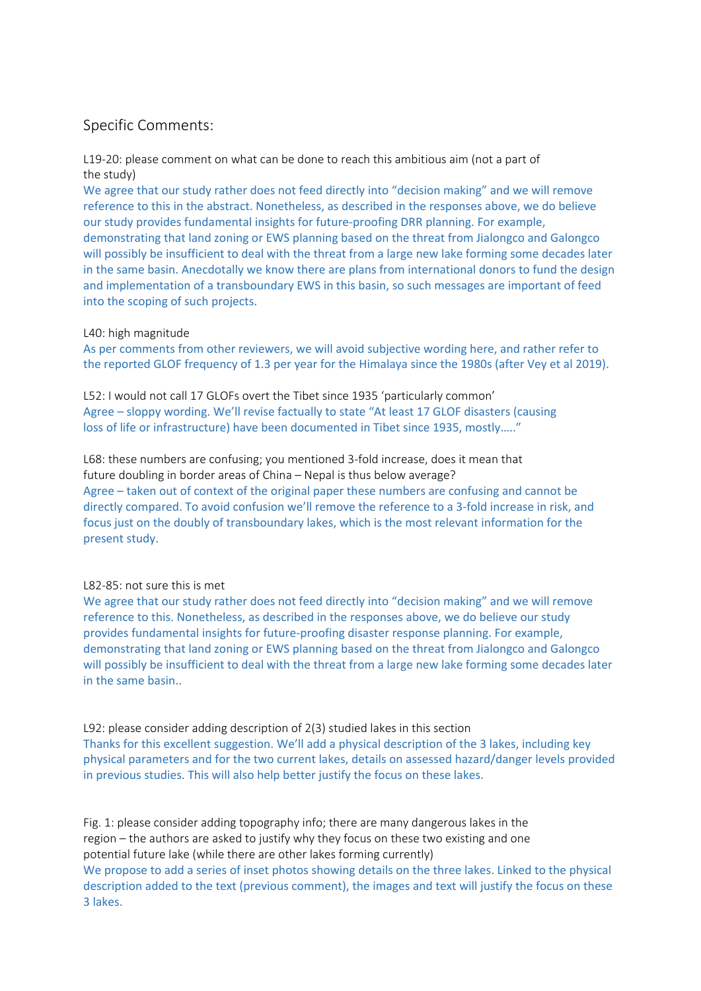## Specific Comments:

L19-20: please comment on what can be done to reach this ambitious aim (not a part of the study)

We agree that our study rather does not feed directly into "decision making" and we will remove reference to this in the abstract. Nonetheless, as described in the responses above, we do believe our study provides fundamental insights for future‐proofing DRR planning. For example, demonstrating that land zoning or EWS planning based on the threat from Jialongco and Galongco will possibly be insufficient to deal with the threat from a large new lake forming some decades later in the same basin. Anecdotally we know there are plans from international donors to fund the design and implementation of a transboundary EWS in this basin, so such messages are important of feed into the scoping of such projects.

#### L40: high magnitude

As per comments from other reviewers, we will avoid subjective wording here, and rather refer to the reported GLOF frequency of 1.3 per year for the Himalaya since the 1980s (after Vey et al 2019).

L52: I would not call 17 GLOFs overt the Tibet since 1935 'particularly common' Agree – sloppy wording. We'll revise factually to state "At least 17 GLOF disasters (causing loss of life or infrastructure) have been documented in Tibet since 1935, mostly….."

L68: these numbers are confusing; you mentioned 3-fold increase, does it mean that future doubling in border areas of China – Nepal is thus below average? Agree – taken out of context of the original paper these numbers are confusing and cannot be directly compared. To avoid confusion we'll remove the reference to a 3‐fold increase in risk, and focus just on the doubly of transboundary lakes, which is the most relevant information for the present study.

### L82‐85: not sure this is met

We agree that our study rather does not feed directly into "decision making" and we will remove reference to this. Nonetheless, as described in the responses above, we do believe our study provides fundamental insights for future‐proofing disaster response planning. For example, demonstrating that land zoning or EWS planning based on the threat from Jialongco and Galongco will possibly be insufficient to deal with the threat from a large new lake forming some decades later in the same basin..

L92: please consider adding description of 2(3) studied lakes in this section Thanks for this excellent suggestion. We'll add a physical description of the 3 lakes, including key physical parameters and for the two current lakes, details on assessed hazard/danger levels provided in previous studies. This will also help better justify the focus on these lakes.

Fig. 1: please consider adding topography info; there are many dangerous lakes in the region – the authors are asked to justify why they focus on these two existing and one potential future lake (while there are other lakes forming currently) We propose to add a series of inset photos showing details on the three lakes. Linked to the physical description added to the text (previous comment), the images and text will justify the focus on these 3 lakes.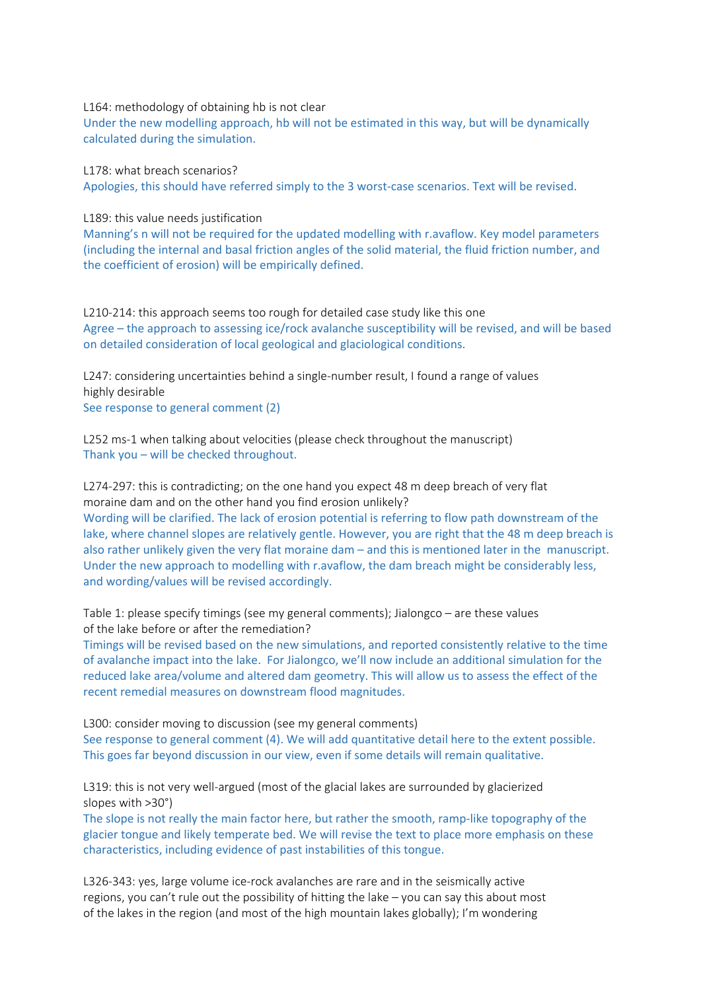L164: methodology of obtaining hb is not clear

Under the new modelling approach, hb will not be estimated in this way, but will be dynamically calculated during the simulation.

L178: what breach scenarios? Apologies, this should have referred simply to the 3 worst-case scenarios. Text will be revised.

L189: this value needs justification

Manning's n will not be required for the updated modelling with r.avaflow. Key model parameters (including the internal and basal friction angles of the solid material, the fluid friction number, and the coefficient of erosion) will be empirically defined.

L210-214: this approach seems too rough for detailed case study like this one Agree – the approach to assessing ice/rock avalanche susceptibility will be revised, and will be based on detailed consideration of local geological and glaciological conditions.

L247: considering uncertainties behind a single-number result, I found a range of values highly desirable See response to general comment (2)

L252 ms-1 when talking about velocities (please check throughout the manuscript) Thank you – will be checked throughout.

L274-297: this is contradicting; on the one hand you expect 48 m deep breach of very flat moraine dam and on the other hand you find erosion unlikely? Wording will be clarified. The lack of erosion potential is referring to flow path downstream of the lake, where channel slopes are relatively gentle. However, you are right that the 48 m deep breach is also rather unlikely given the very flat moraine dam – and this is mentioned later in the manuscript. Under the new approach to modelling with r.avaflow, the dam breach might be considerably less, and wording/values will be revised accordingly.

Table 1: please specify timings (see my general comments); Jialongco – are these values of the lake before or after the remediation?

Timings will be revised based on the new simulations, and reported consistently relative to the time of avalanche impact into the lake. For Jialongco, we'll now include an additional simulation for the reduced lake area/volume and altered dam geometry. This will allow us to assess the effect of the recent remedial measures on downstream flood magnitudes.

L300: consider moving to discussion (see my general comments) See response to general comment (4). We will add quantitative detail here to the extent possible. This goes far beyond discussion in our view, even if some details will remain qualitative.

L319: this is not very well-argued (most of the glacial lakes are surrounded by glacierized slopes with >30°)

The slope is not really the main factor here, but rather the smooth, ramp-like topography of the glacier tongue and likely temperate bed. We will revise the text to place more emphasis on these characteristics, including evidence of past instabilities of this tongue.

L326-343: yes, large volume ice-rock avalanches are rare and in the seismically active regions, you can't rule out the possibility of hitting the lake – you can say this about most of the lakes in the region (and most of the high mountain lakes globally); I'm wondering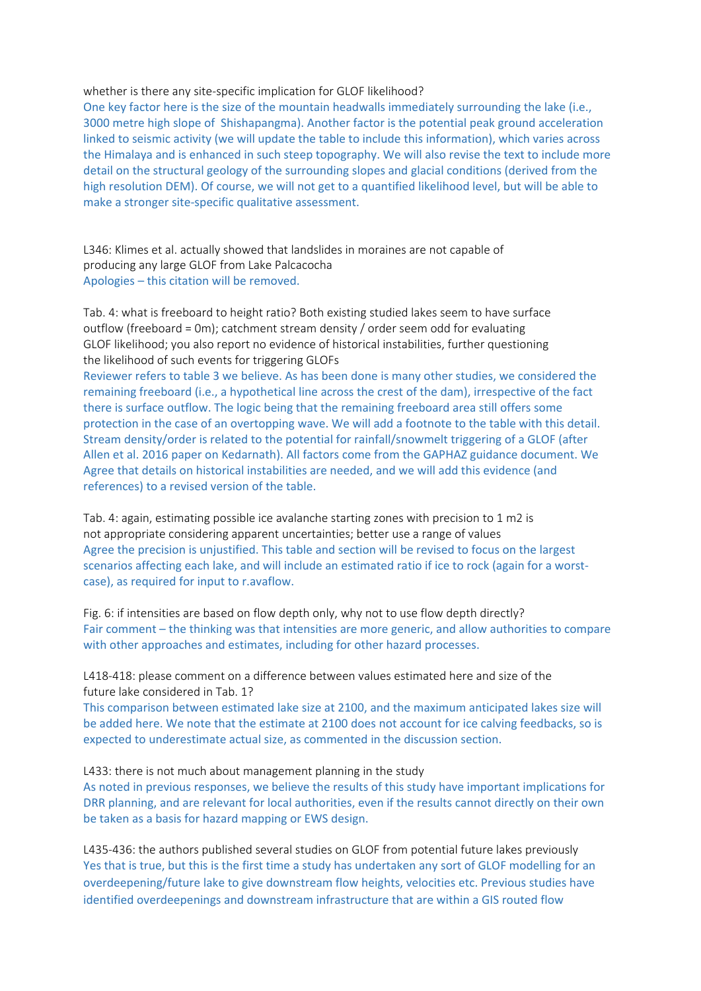#### whether is there any site-specific implication for GLOF likelihood?

One key factor here is the size of the mountain headwalls immediately surrounding the lake (i.e., 3000 metre high slope of Shishapangma). Another factor is the potential peak ground acceleration linked to seismic activity (we will update the table to include this information), which varies across the Himalaya and is enhanced in such steep topography. We will also revise the text to include more detail on the structural geology of the surrounding slopes and glacial conditions (derived from the high resolution DEM). Of course, we will not get to a quantified likelihood level, but will be able to make a stronger site‐specific qualitative assessment.

L346: Klimes et al. actually showed that landslides in moraines are not capable of producing any large GLOF from Lake Palcacocha Apologies – this citation will be removed.

Tab. 4: what is freeboard to height ratio? Both existing studied lakes seem to have surface outflow (freeboard = 0m); catchment stream density / order seem odd for evaluating GLOF likelihood; you also report no evidence of historical instabilities, further questioning the likelihood of such events for triggering GLOFs

Reviewer refers to table 3 we believe. As has been done is many other studies, we considered the remaining freeboard (i.e., a hypothetical line across the crest of the dam), irrespective of the fact there is surface outflow. The logic being that the remaining freeboard area still offers some protection in the case of an overtopping wave. We will add a footnote to the table with this detail. Stream density/order is related to the potential for rainfall/snowmelt triggering of a GLOF (after Allen et al. 2016 paper on Kedarnath). All factors come from the GAPHAZ guidance document. We Agree that details on historical instabilities are needed, and we will add this evidence (and references) to a revised version of the table.

Tab. 4: again, estimating possible ice avalanche starting zones with precision to 1 m2 is not appropriate considering apparent uncertainties; better use a range of values Agree the precision is unjustified. This table and section will be revised to focus on the largest scenarios affecting each lake, and will include an estimated ratio if ice to rock (again for a worstcase), as required for input to r.avaflow.

Fig. 6: if intensities are based on flow depth only, why not to use flow depth directly? Fair comment – the thinking was that intensities are more generic, and allow authorities to compare with other approaches and estimates, including for other hazard processes.

L418-418: please comment on a difference between values estimated here and size of the future lake considered in Tab. 1?

This comparison between estimated lake size at 2100, and the maximum anticipated lakes size will be added here. We note that the estimate at 2100 does not account for ice calving feedbacks, so is expected to underestimate actual size, as commented in the discussion section.

L433: there is not much about management planning in the study

As noted in previous responses, we believe the results of this study have important implications for DRR planning, and are relevant for local authorities, even if the results cannot directly on their own be taken as a basis for hazard mapping or EWS design.

L435-436: the authors published several studies on GLOF from potential future lakes previously Yes that is true, but this is the first time a study has undertaken any sort of GLOF modelling for an overdeepening/future lake to give downstream flow heights, velocities etc. Previous studies have identified overdeepenings and downstream infrastructure that are within a GIS routed flow